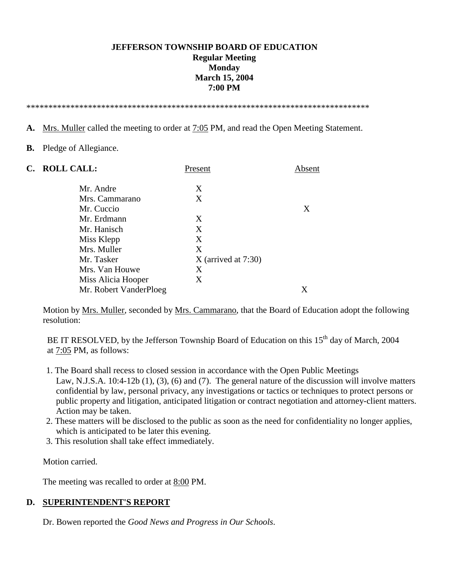# **JEFFERSON TOWNSHIP BOARD OF EDUCATION Regular Meeting Monday March 15, 2004 7:00 PM**

\*\*\*\*\*\*\*\*\*\*\*\*\*\*\*\*\*\*\*\*\*\*\*\*\*\*\*\*\*\*\*\*\*\*\*\*\*\*\*\*\*\*\*\*\*\*\*\*\*\*\*\*\*\*\*\*\*\*\*\*\*\*\*\*\*\*\*\*\*\*\*\*\*\*\*\*\*\*

- **A.** Mrs. Muller called the meeting to order at 7:05 PM, and read the Open Meeting Statement.
- **B.** Pledge of Allegiance.

| C. ROLL CALL:          | Present               | Absent |
|------------------------|-----------------------|--------|
| Mr. Andre              | X                     |        |
| Mrs. Cammarano         | X                     |        |
| Mr. Cuccio             |                       | X      |
| Mr. Erdmann            | X                     |        |
| Mr. Hanisch            | X                     |        |
| Miss Klepp             | X                     |        |
| Mrs. Muller            | X                     |        |
| Mr. Tasker             | $X$ (arrived at 7:30) |        |
| Mrs. Van Houwe         | X                     |        |
| Miss Alicia Hooper     | X                     |        |
| Mr. Robert VanderPloeg |                       | Х      |

 Motion by Mrs. Muller, seconded by Mrs. Cammarano, that the Board of Education adopt the following resolution:

BE IT RESOLVED, by the Jefferson Township Board of Education on this 15<sup>th</sup> day of March, 2004 at 7:05 PM, as follows:

- 1. The Board shall recess to closed session in accordance with the Open Public Meetings Law, N.J.S.A. 10:4-12b (1), (3), (6) and (7). The general nature of the discussion will involve matters confidential by law, personal privacy, any investigations or tactics or techniques to protect persons or public property and litigation, anticipated litigation or contract negotiation and attorney-client matters. Action may be taken.
- 2. These matters will be disclosed to the public as soon as the need for confidentiality no longer applies, which is anticipated to be later this evening.
- 3. This resolution shall take effect immediately.

Motion carried.

The meeting was recalled to order at 8:00 PM.

#### **D. SUPERINTENDENT'S REPORT**

Dr. Bowen reported the *Good News and Progress in Our Schools*.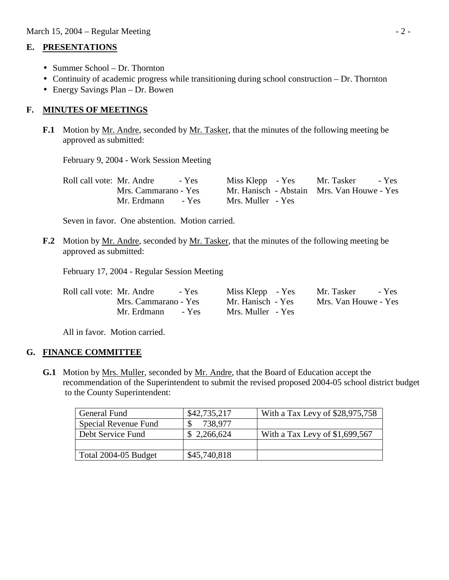### **E. PRESENTATIONS**

- Summer School Dr. Thornton
- Continuity of academic progress while transitioning during school construction Dr. Thornton
- Energy Savings Plan Dr. Bowen

# **F. MINUTES OF MEETINGS**

**F.1** Motion by Mr. Andre, seconded by Mr. Tasker, that the minutes of the following meeting be approved as submitted:

February 9, 2004 - Work Session Meeting

| Roll call vote: Mr. Andre<br>$- Yes$ |                   | Miss Klepp - Yes Mr. Tasker - Yes          |
|--------------------------------------|-------------------|--------------------------------------------|
| Mrs. Cammarano - Yes                 |                   | Mr. Hanisch - Abstain Mrs. Van Houwe - Yes |
| Mr. Erdmann<br>- Yes                 | Mrs. Muller - Yes |                                            |

Seven in favor. One abstention. Motion carried.

**F.2** Motion by Mr. Andre, seconded by Mr. Tasker, that the minutes of the following meeting be approved as submitted:

February 17, 2004 - Regular Session Meeting

| Roll call vote: Mr. Andre | - Yes | Miss Klepp - Yes  | Mr. Tasker           | - Yes |
|---------------------------|-------|-------------------|----------------------|-------|
| Mrs. Cammarano - Yes      |       | Mr. Hanisch - Yes | Mrs. Van Houwe - Yes |       |
| Mr. Erdmann               | - Yes | Mrs. Muller - Yes |                      |       |

All in favor. Motion carried.

# **G. FINANCE COMMITTEE**

 **G.1** Motion by Mrs. Muller, seconded by Mr. Andre, that the Board of Education accept the recommendation of the Superintendent to submit the revised proposed 2004-05 school district budget to the County Superintendent:

| General Fund         | \$42,735,217 | With a Tax Levy of \$28,975,758 |
|----------------------|--------------|---------------------------------|
| Special Revenue Fund | 738.977      |                                 |
| Debt Service Fund    | \$2,266,624  | With a Tax Levy of $$1,699,567$ |
|                      |              |                                 |
| Total 2004-05 Budget | \$45,740,818 |                                 |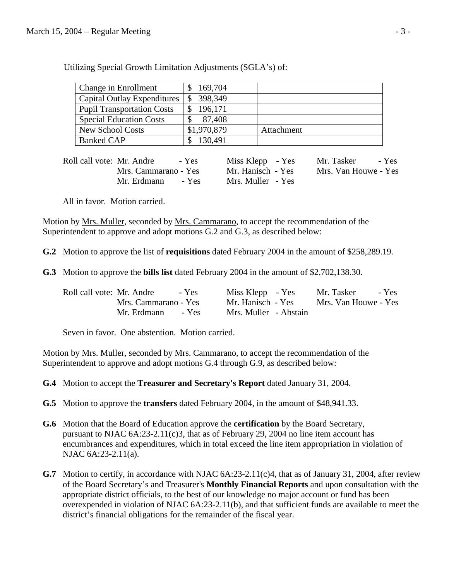| Change in Enrollment              | 169,704     |            |
|-----------------------------------|-------------|------------|
| Capital Outlay Expenditures       | 398,349     |            |
| <b>Pupil Transportation Costs</b> | 196,171     |            |
| <b>Special Education Costs</b>    | 87,408      |            |
| <b>New School Costs</b>           | \$1,970,879 | Attachment |
| <b>Banked CAP</b>                 | 130.491     |            |

Utilizing Special Growth Limitation Adjustments (SGLA's) of:

| Roll call vote: Mr. Andre<br>- Yes | Miss Klepp - Yes  | - Yes<br>Mr. Tasker  |
|------------------------------------|-------------------|----------------------|
| Mrs. Cammarano - Yes               | Mr. Hanisch - Yes | Mrs. Van Houwe - Yes |
| Mr. Erdmann<br>- Yes               | Mrs. Muller - Yes |                      |

All in favor. Motion carried.

 Motion by Mrs. Muller, seconded by Mrs. Cammarano, to accept the recommendation of the Superintendent to approve and adopt motions G.2 and G.3, as described below:

 **G.2** Motion to approve the list of **requisitions** dated February 2004 in the amount of \$258,289.19.

**G.3** Motion to approve the **bills list** dated February 2004 in the amount of \$2,702,138.30.

| Roll call vote: Mr. Andre<br>- Yes | Miss Klepp - Yes      | Mr. Tasker<br>- Yes  |
|------------------------------------|-----------------------|----------------------|
| Mrs. Cammarano - Yes               | Mr. Hanisch - Yes     | Mrs. Van Houwe - Yes |
| Mr. Erdmann<br>- Yes               | Mrs. Muller - Abstain |                      |

Seven in favor. One abstention. Motion carried.

 Motion by Mrs. Muller, seconded by Mrs. Cammarano, to accept the recommendation of the Superintendent to approve and adopt motions G.4 through G.9, as described below:

**G.4** Motion to accept the **Treasurer and Secretary's Report** dated January 31, 2004.

**G.5** Motion to approve the **transfers** dated February 2004, in the amount of \$48,941.33.

- **G.6** Motion that the Board of Education approve the **certification** by the Board Secretary, pursuant to NJAC  $6A:23-2.11(c)3$ , that as of February 29, 2004 no line item account has encumbrances and expenditures, which in total exceed the line item appropriation in violation of NJAC 6A:23-2.11(a).
- **G.7** Motion to certify, in accordance with NJAC 6A:23-2.11(c)4, that as of January 31, 2004, after review of the Board Secretary's and Treasurer's **Monthly Financial Reports** and upon consultation with the appropriate district officials, to the best of our knowledge no major account or fund has been overexpended in violation of NJAC 6A:23-2.11(b), and that sufficient funds are available to meet the district's financial obligations for the remainder of the fiscal year.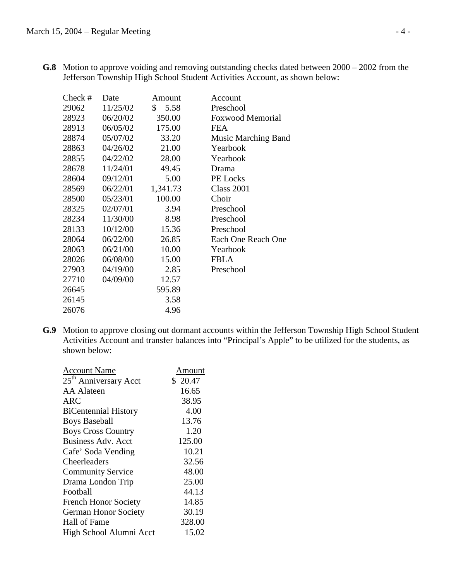|       | Check #<br>Date | Amount     | Account                    |
|-------|-----------------|------------|----------------------------|
| 29062 | 11/25/02        | \$<br>5.58 | Preschool                  |
| 28923 | 06/20/02        | 350.00     | <b>Foxwood Memorial</b>    |
| 28913 | 06/05/02        | 175.00     | <b>FEA</b>                 |
| 28874 | 05/07/02        | 33.20      | <b>Music Marching Band</b> |
| 28863 | 04/26/02        | 21.00      | Yearbook                   |
| 28855 | 04/22/02        | 28.00      | Yearbook                   |
| 28678 | 11/24/01        | 49.45      | Drama                      |
| 28604 | 09/12/01        | 5.00       | PE Locks                   |
| 28569 | 06/22/01        | 1,341.73   | <b>Class 2001</b>          |
| 28500 | 05/23/01        | 100.00     | Choir                      |
| 28325 | 02/07/01        | 3.94       | Preschool                  |
| 28234 | 11/30/00        | 8.98       | Preschool                  |
| 28133 | 10/12/00        | 15.36      | Preschool                  |
| 28064 | 06/22/00        | 26.85      | Each One Reach One         |
| 28063 | 06/21/00        | 10.00      | Yearbook                   |
| 28026 | 06/08/00        | 15.00      | <b>FBLA</b>                |
| 27903 | 04/19/00        | 2.85       | Preschool                  |
| 27710 | 04/09/00        | 12.57      |                            |
| 26645 |                 | 595.89     |                            |
| 26145 |                 | 3.58       |                            |
| 26076 |                 | 4.96       |                            |

 **G.8** Motion to approve voiding and removing outstanding checks dated between 2000 – 2002 from the Jefferson Township High School Student Activities Account, as shown below:

 **G.9** Motion to approve closing out dormant accounts within the Jefferson Township High School Student Activities Account and transfer balances into "Principal's Apple" to be utilized for the students, as shown below:

| Account Name                      | Amount  |
|-----------------------------------|---------|
| 25 <sup>th</sup> Anniversary Acct | \$20.47 |
| <b>AA</b> Alateen                 | 16.65   |
| <b>ARC</b>                        | 38.95   |
| <b>BiCentennial History</b>       | 4.00    |
| <b>Boys Baseball</b>              | 13.76   |
| <b>Boys Cross Country</b>         | 1.20    |
| <b>Business Adv. Acct</b>         | 125.00  |
| Cafe' Soda Vending                | 10.21   |
| Cheerleaders                      | 32.56   |
| <b>Community Service</b>          | 48.00   |
| Drama London Trip                 | 25.00   |
| Football                          | 44.13   |
| <b>French Honor Society</b>       | 14.85   |
| <b>German Honor Society</b>       | 30.19   |
| Hall of Fame                      | 328.00  |
| High School Alumni Acct           | 15.02   |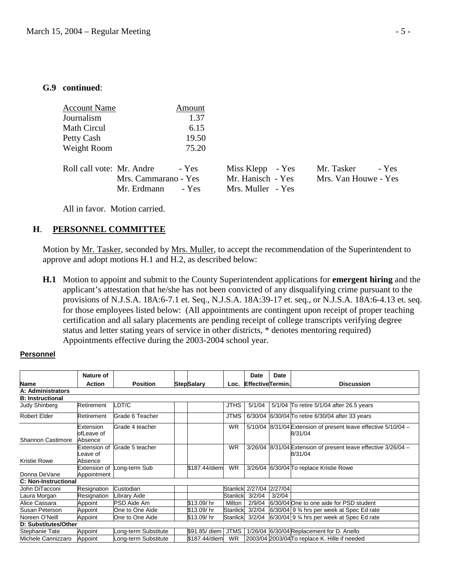#### **G.9 continued**:

| <b>Account Name</b>       |                                     | Amount         |                                                            |                                    |       |
|---------------------------|-------------------------------------|----------------|------------------------------------------------------------|------------------------------------|-------|
| Journalism                |                                     | 1.37           |                                                            |                                    |       |
| Math Circul               |                                     | 6.15           |                                                            |                                    |       |
| Petty Cash                |                                     | 19.50          |                                                            |                                    |       |
| Weight Room               |                                     | 75.20          |                                                            |                                    |       |
| Roll call vote: Mr. Andre | Mrs. Cammarano - Yes<br>Mr. Erdmann | - Yes<br>- Yes | Miss Klepp - Yes<br>Mr. Hanisch - Yes<br>Mrs. Muller - Yes | Mr. Tasker<br>Mrs. Van Houwe - Yes | - Yes |

All in favor. Motion carried.

### **H**. **PERSONNEL COMMITTEE**

Motion by Mr. Tasker, seconded by Mrs. Muller, to accept the recommendation of the Superintendent to approve and adopt motions H.1 and H.2, as described below:

 **H.1** Motion to appoint and submit to the County Superintendent applications for **emergent hiring** and the applicant's attestation that he/she has not been convicted of any disqualifying crime pursuant to the provisions of N.J.S.A. 18A:6-7.1 et. Seq., N.J.S.A. 18A:39-17 et. seq., or N.J.S.A. 18A:6-4.13 et. seq. for those employees listed below: (All appointments are contingent upon receipt of proper teaching certification and all salary placements are pending receipt of college transcripts verifying degree status and letter stating years of service in other districts, \* denotes mentoring required) Appointments effective during the 2003-2004 school year.

#### **Personnel**

|                             | Nature of                           |                      |  |                   |                 | Date                    | Date    |                                                                           |  |
|-----------------------------|-------------------------------------|----------------------|--|-------------------|-----------------|-------------------------|---------|---------------------------------------------------------------------------|--|
| <b>Name</b>                 | <b>Action</b>                       | <b>Position</b>      |  | <b>StepSalary</b> | Loc.            | <b>EffectiveTermin.</b> |         | <b>Discussion</b>                                                         |  |
| A: Administrators           |                                     |                      |  |                   |                 |                         |         |                                                                           |  |
| <b>B: Instructional</b>     |                                     |                      |  |                   |                 |                         |         |                                                                           |  |
| <b>Judy Shinberg</b>        | Retirement                          | LDT/C                |  |                   | <b>JTHS</b>     | 5/1/04                  |         | 5/1/04 To retire 5/1/04 after 26.5 years                                  |  |
| <b>Robert Elder</b>         | Retirement                          | Grade 6 Teacher      |  |                   | <b>JTMS</b>     | 6/30/04                 |         | 6/30/04 To retire 6/30/04 after 33 years                                  |  |
| Shannon Castimore           | Extension<br>ofLeave of<br>Absence  | Grade 4 teacher      |  |                   | <b>WR</b>       |                         |         | 5/10/04 8/31/04 Extension of present leave effective 5/10/04 -<br>8/31/04 |  |
| Kristie Rowe                | Extension of<br>eave of.<br>Absence | Grade 5 teacher      |  |                   | <b>WR</b>       |                         |         | 3/26/04 8/31/04 Extension of present leave effective 3/26/04 -<br>8/31/04 |  |
| Donna DeVane                | Extension of<br>Appointment         | Long-term Sub        |  | \$187.44/diem     | <b>WR</b>       |                         |         | 3/26/04 6/30/04 To replace Kristie Rowe                                   |  |
| <b>C: Non-Instructional</b> |                                     |                      |  |                   |                 |                         |         |                                                                           |  |
| John DiTacconi              | Resignation                         | Custodian            |  |                   | <b>Stanlick</b> | 2/27/04                 | 2/27/04 |                                                                           |  |
| Laura Morgan                | Resignation                         | Library Aide         |  |                   | <b>Stanlick</b> | 3/2/04                  | 3/2/04  |                                                                           |  |
| Alice Cassara               | Appoint                             | <b>PSD Aide Am</b>   |  | \$13.09/hr        | Milton          | 2/9/04                  |         | 6/30/04 One to one aide for PSD student                                   |  |
| Susan Peterson              | Appoint                             | One to One Aide      |  | \$13.09/hr        | <b>Stanlick</b> | 3/2/04                  |         | $6/30/04$ 9 $\frac{3}{4}$ hrs per week at Spec Ed rate                    |  |
| Noreen O'Neill              | Appoint                             | One to One Aide      |  | \$13.09/ hr       | Stanlick        | 3/2/04                  |         | $6/30/04$ 9 % hrs per week at Spec Ed rate                                |  |
| D: Substitutes/Other        |                                     |                      |  |                   |                 |                         |         |                                                                           |  |
| Stephanie Tate              | Appoint                             | Long-term Substitute |  | \$91.85/ diem     | <b>JTMS</b>     |                         |         | 1/26/04 6/30/04 Replacement for D. Anello                                 |  |
| Michele Cannizzaro          | Appoint                             | Long-term Substitute |  | \$187.44/diem     | <b>WR</b>       |                         |         | 2003/04 2003/04 To replace K. Hille if needed                             |  |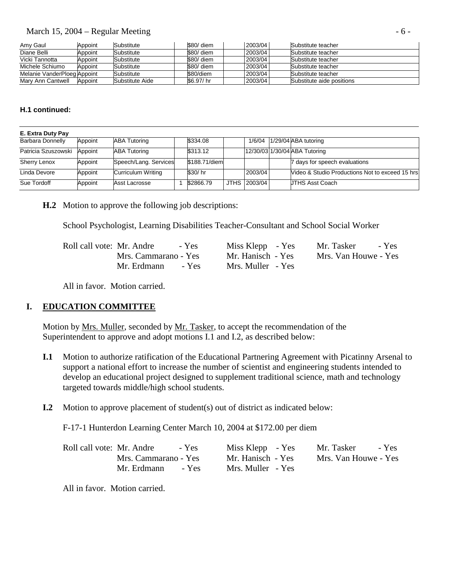### March 15, 2004 – Regular Meeting  $\sim$  6 -

| Amy Gaul                    | Appoint | Substitute      | \$80/ diem | 2003/04 | Substitute teacher        |
|-----------------------------|---------|-----------------|------------|---------|---------------------------|
| Diane Belli                 | Appoint | Substitute      | \$80/ diem | 2003/04 | Substitute teacher        |
| Vicki Tannotta              | Appoint | Substitute      | \$80/ diem | 2003/04 | Substitute teacher        |
| Michele Schiumo             | Appoint | Substitute      | \$80/ diem | 2003/04 | Substitute teacher        |
| Melanie VanderPloeg Appoint |         | Substitute      | \$80/diem  | 2003/04 | Substitute teacher        |
| Mary Ann Cantwell           | Appoint | Substitute Aide | \$6.97/ hr | 2003/04 | Substitute aide positions |

#### **H.1 continued:**

| E. Extra Duty Pay       |         |                           |               |              |                                                 |
|-------------------------|---------|---------------------------|---------------|--------------|-------------------------------------------------|
| <b>Barbara Donnelly</b> | Appoint | <b>ABA Tutoring</b>       | \$334.08      |              | 1/6/04 1/29/04 ABA tutoring                     |
| Patricia Szuszowski     | Appoint | <b>ABA Tutoring</b>       | \$313.12      |              | 12/30/03 1/30/04 ABA Tutoring                   |
| Sherry Lenox            | Appoint | Speech/Lang. Services     | \$188.71/diem |              | 7 days for speech evaluations                   |
| Linda Devore            | Appoint | <b>Curriculum Writing</b> | \$30/hr       | 2003/04      | Video & Studio Productions Not to exceed 15 hrs |
| Sue Tordoff             | Appoint | Asst Lacrosse             | \$2866.79     | JTHS 2003/04 | <b>JTHS Asst Coach</b>                          |

**H.2** Motion to approve the following job descriptions:

School Psychologist, Learning Disabilities Teacher-Consultant and School Social Worker

| Roll call vote: Mr. Andre |                      | - Yes | Miss Klepp - Yes  | Mr. Tasker           | - Yes |
|---------------------------|----------------------|-------|-------------------|----------------------|-------|
|                           | Mrs. Cammarano - Yes |       | Mr. Hanisch - Yes | Mrs. Van Houwe - Yes |       |
|                           | Mr. Erdmann          | - Yes | Mrs. Muller - Yes |                      |       |

All in favor. Motion carried.

# **I. EDUCATION COMMITTEE**

Motion by Mrs. Muller, seconded by Mr. Tasker, to accept the recommendation of the Superintendent to approve and adopt motions I.1 and I.2, as described below:

- **I.1** Motion to authorize ratification of the Educational Partnering Agreement with Picatinny Arsenal to support a national effort to increase the number of scientist and engineering students intended to develop an educational project designed to supplement traditional science, math and technology targeted towards middle/high school students.
- **I.2** Motion to approve placement of student(s) out of district as indicated below:

F-17-1 Hunterdon Learning Center March 10, 2004 at \$172.00 per diem

| Roll call vote: Mr. Andre<br>$-$ Yes | Miss Klepp - Yes  | Mr. Tasker - Yes     |
|--------------------------------------|-------------------|----------------------|
| Mrs. Cammarano - Yes                 | Mr. Hanisch - Yes | Mrs. Van Houwe - Yes |
| Mr. Erdmann<br>- Yes                 | Mrs. Muller - Yes |                      |

All in favor. Motion carried.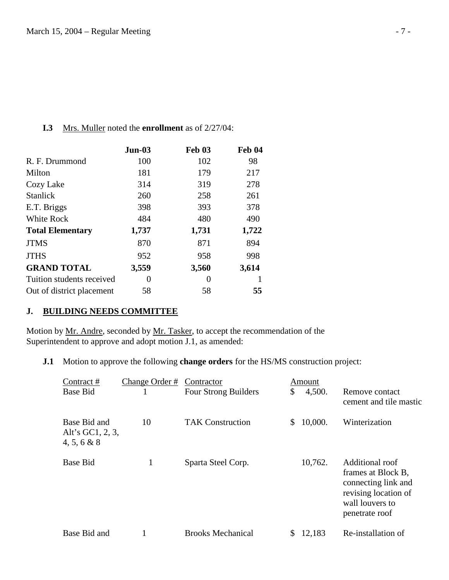### **I.3** Mrs. Muller noted the **enrollment** as of 2/27/04:

|                           | $Jun-03$ | <b>Feb 03</b> | <b>Feb 04</b> |
|---------------------------|----------|---------------|---------------|
| R. F. Drummond            | 100      | 102           | 98            |
| Milton                    | 181      | 179           | 217           |
| Cozy Lake                 | 314      | 319           | 278           |
| <b>Stanlick</b>           | 260      | 258           | 261           |
| E.T. Briggs               | 398      | 393           | 378           |
| White Rock                | 484      | 480           | 490           |
| <b>Total Elementary</b>   | 1,737    | 1,731         | 1,722         |
| <b>JTMS</b>               | 870      | 871           | 894           |
| <b>JTHS</b>               | 952      | 958           | 998           |
| <b>GRAND TOTAL</b>        | 3,559    | 3,560         | 3,614         |
| Tuition students received | 0        | $\theta$      |               |
| Out of district placement | 58       | 58            | 55            |

# **J. BUILDING NEEDS COMMITTEE**

Motion by Mr. Andre, seconded by Mr. Tasker, to accept the recommendation of the Superintendent to approve and adopt motion J.1, as amended:

**J.1** Motion to approve the following **change orders** for the HS/MS construction project:

| Contract #                                      | Change Order # | Contractor                  | Amount        |                                                                                                                           |
|-------------------------------------------------|----------------|-----------------------------|---------------|---------------------------------------------------------------------------------------------------------------------------|
| <b>Base Bid</b>                                 |                | <b>Four Strong Builders</b> | \$<br>4,500.  | Remove contact<br>cement and tile mastic                                                                                  |
| Base Bid and<br>Alt's GC1, 2, 3,<br>4, 5, 6 & 8 | 10             | <b>TAK Construction</b>     | \$<br>10,000. | Winterization                                                                                                             |
| <b>Base Bid</b>                                 | $\mathbf{1}$   | Sparta Steel Corp.          | 10,762.       | Additional roof<br>frames at Block B,<br>connecting link and<br>revising location of<br>wall louvers to<br>penetrate roof |
| Base Bid and                                    |                | <b>Brooks Mechanical</b>    | 12,183        | Re-installation of                                                                                                        |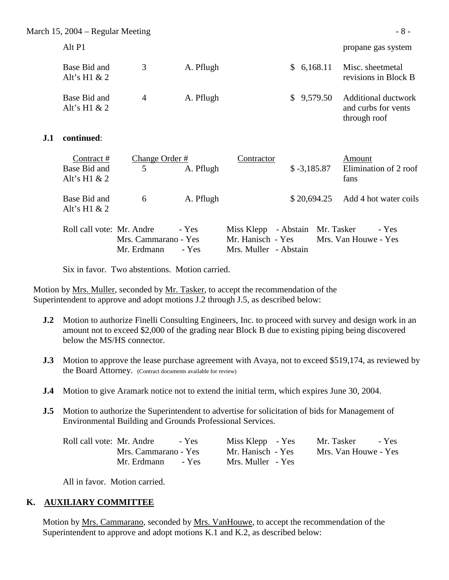March 15,  $2004 -$  Regular Meeting  $\sim 8 -$ 

Base Bid and 3 A. Pflugh \$ 6,168.11 Misc. sheetmetal Alt's H1 & 2 revisions in Block B Base Bid and 4 A. Pflugh \$ 9,579.50 Additional ductwork Alt's H1  $\&$  2 and curbs for vents through roof

### **J.1 continued**:

| Contract#                 | Change Order #       |           | Contractor                             |              | Amount                             |       |
|---------------------------|----------------------|-----------|----------------------------------------|--------------|------------------------------------|-------|
| Base Bid and              | 5                    | A. Pflugh |                                        | $$-3,185.87$ | Elimination of 2 roof              |       |
| Alt's H $1 & 2$           |                      |           |                                        |              | fans                               |       |
|                           |                      |           |                                        |              |                                    |       |
| Base Bid and              | 6                    | A. Pflugh |                                        |              | $$20,694.25$ Add 4 hot water coils |       |
| Alt's H $1 & 2$           |                      |           |                                        |              |                                    |       |
| Roll call vote: Mr. Andre |                      | - Yes     | Miss Klepp - Abstain Mr. Tasker        |              |                                    | - Yes |
|                           |                      |           |                                        |              |                                    |       |
|                           | Mrs. Cammarano - Yes |           | Mr. Hanisch - Yes Mrs. Van Houwe - Yes |              |                                    |       |
|                           | Mr. Erdmann          | - Yes     | Mrs. Muller - Abstain                  |              |                                    |       |

Six in favor. Two abstentions. Motion carried.

Motion by <u>Mrs. Muller</u>, seconded by <u>Mr. Tasker</u>, to accept the recommendation of the Superintendent to approve and adopt motions J.2 through J.5, as described below:

- **J.2** Motion to authorize Finelli Consulting Engineers, Inc. to proceed with survey and design work in an amount not to exceed \$2,000 of the grading near Block B due to existing piping being discovered below the MS/HS connector.
- **J.3** Motion to approve the lease purchase agreement with Avaya, not to exceed \$519,174, as reviewed by the Board Attorney. (Contract documents available for review)
- **J.4** Motion to give Aramark notice not to extend the initial term, which expires June 30, 2004.
- **J.5** Motion to authorize the Superintendent to advertise for solicitation of bids for Management of Environmental Building and Grounds Professional Services.

| Roll call vote: Mr. Andre | - Yes | Miss Klepp - Yes  | Mr. Tasker           | - Yes |
|---------------------------|-------|-------------------|----------------------|-------|
| Mrs. Cammarano - Yes      |       | Mr. Hanisch - Yes | Mrs. Van Houwe - Yes |       |
| Mr. Erdmann               | - Yes | Mrs. Muller - Yes |                      |       |

All in favor. Motion carried.

# **K. AUXILIARY COMMITTEE**

 Motion by Mrs. Cammarano, seconded by Mrs. VanHouwe, to accept the recommendation of the Superintendent to approve and adopt motions K.1 and K.2, as described below:

Alt P1 propane gas system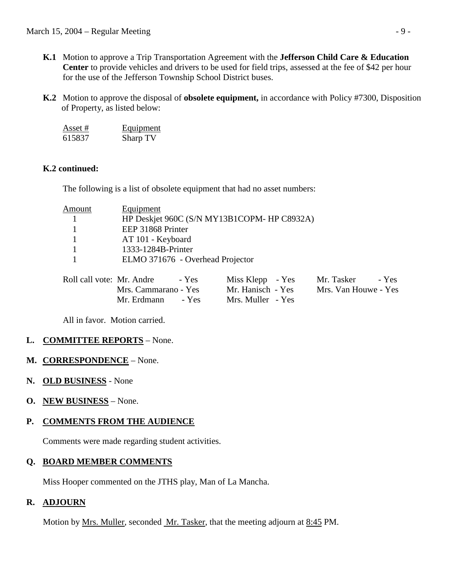- **K.1** Motion to approve a Trip Transportation Agreement with the **Jefferson Child Care & Education Center** to provide vehicles and drivers to be used for field trips, assessed at the fee of \$42 per hour for the use of the Jefferson Township School District buses.
- **K.2** Motion to approve the disposal of **obsolete equipment,** in accordance with Policy #7300, Disposition of Property, as listed below:

| Asset # | Equipment |
|---------|-----------|
| 615837  | Sharp TV  |

# **K.2 continued:**

The following is a list of obsolete equipment that had no asset numbers:

| HP Deskjet 960C (S/N MY13B1COPM- HP C8932A) |
|---------------------------------------------|
|                                             |
|                                             |
|                                             |
|                                             |
|                                             |

| Roll call vote: Mr. Andre<br>- Yes | Miss Klepp - Yes  | Mr. Tasker<br>- Yes  |
|------------------------------------|-------------------|----------------------|
| Mrs. Cammarano - Yes               | Mr. Hanisch - Yes | Mrs. Van Houwe - Yes |
| Mr. Erdmann<br>$-$ Yes             | Mrs. Muller - Yes |                      |

All in favor. Motion carried.

# **L. COMMITTEE REPORTS** – None.

# **M. CORRESPONDENCE** – None.

- **N. OLD BUSINESS** None
- **O. NEW BUSINESS** None.

# **P. COMMENTS FROM THE AUDIENCE**

Comments were made regarding student activities.

# **Q. BOARD MEMBER COMMENTS**

Miss Hooper commented on the JTHS play, Man of La Mancha.

# **R. ADJOURN**

Motion by <u>Mrs. Muller</u>, seconded Mr. Tasker, that the meeting adjourn at <u>8:45</u> PM.